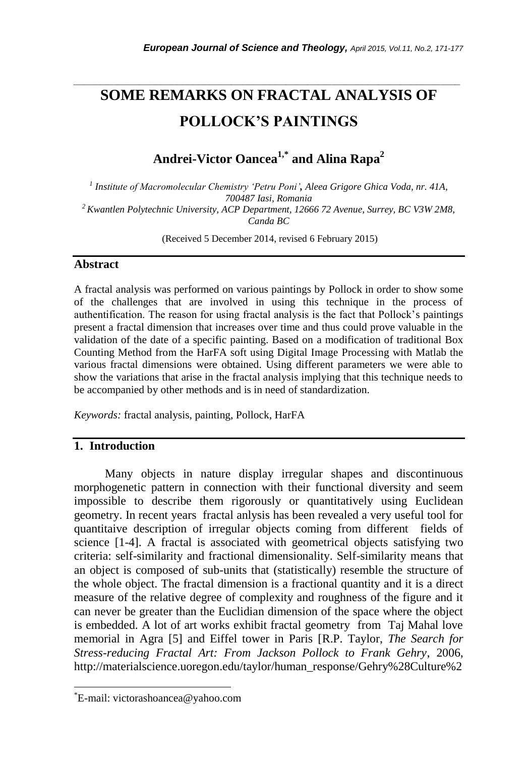# **SOME REMARKS ON FRACTAL ANALYSIS OF POLLOCK'S PAINTINGS**

*\_\_\_\_\_\_\_\_\_\_\_\_\_\_\_\_\_\_\_\_\_\_\_\_\_\_\_\_\_\_\_\_\_\_\_\_\_\_\_\_\_\_\_\_\_\_\_\_\_\_\_\_\_\_\_\_\_\_\_\_\_\_\_\_\_\_\_\_\_\_\_*

**Andrei-Victor Oancea1,\* and Alina Rapa<sup>2</sup>**

*1 Institute of Macromolecular Chemistry 'Petru Poni', Aleea Grigore Ghica Voda, nr. 41A, 700487 Iasi, Romania <sup>2</sup>Kwantlen Polytechnic University, ACP Department, 12666 72 Avenue, Surrey, BC V3W 2M8, Canda BC*

(Received 5 December 2014, revised 6 February 2015)

### **Abstract**

A fractal analysis was performed on various paintings by Pollock in order to show some of the challenges that are involved in using this technique in the process of authentification. The reason for using fractal analysis is the fact that Pollock's paintings present a fractal dimension that increases over time and thus could prove valuable in the validation of the date of a specific painting. Based on a modification of traditional Box Counting Method from the HarFA soft using Digital Image Processing with Matlab the various fractal dimensions were obtained. Using different parameters we were able to show the variations that arise in the fractal analysis implying that this technique needs to be accompanied by other methods and is in need of standardization.

*Keywords:* fractal analysis, painting, Pollock, HarFA

## **1. Introduction**

Many objects in nature display irregular shapes and discontinuous morphogenetic pattern in connection with their functional diversity and seem impossible to describe them rigorously or quantitatively using Euclidean geometry. In recent years fractal anlysis has been revealed a very useful tool for quantitaive description of irregular objects coming from different fields of science [1-4]. A fractal is associated with geometrical objects satisfying two criteria: self-similarity and fractional dimensionality. Self-similarity means that an object is composed of sub-units that (statistically) resemble the structure of the whole object. The fractal dimension is a fractional quantity and it is a direct measure of the relative degree of complexity and roughness of the figure and it can never be greater than the Euclidian dimension of the space where the object is embedded. A lot of art works exhibit fractal geometry from Taj Mahal love memorial in Agra [5] and Eiffel tower in Paris [R.P. Taylor, *The Search for Stress-reducing Fractal Art: From Jackson Pollock to Frank Gehry*, 2006, http://materialscience.uoregon.edu/taylor/human\_response/Gehry%28Culture%2

l

<sup>\*</sup>E-mail: victorashoancea@yahoo.com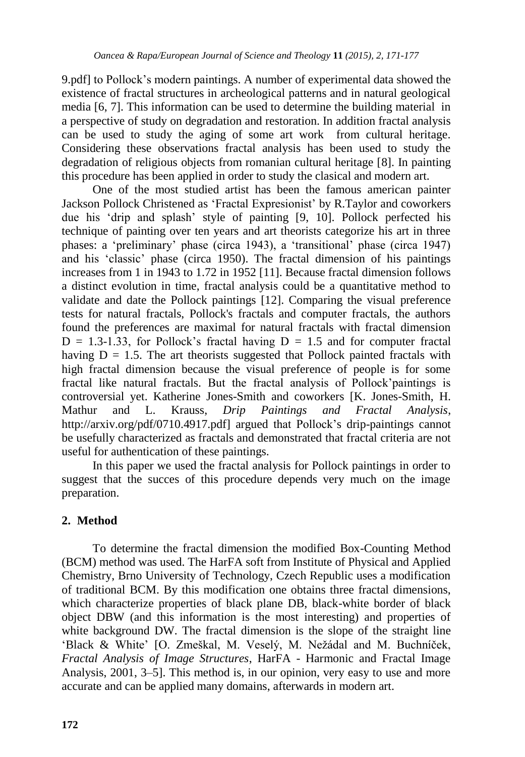9.pdf] to Pollock's modern paintings. A number of experimental data showed the existence of fractal structures in archeological patterns and in natural geological media [6, 7]. This information can be used to determine the building material in a perspective of study on degradation and restoration. In addition fractal analysis can be used to study the aging of some art work from cultural heritage. Considering these observations fractal analysis has been used to study the degradation of religious objects from romanian cultural heritage [8]. In painting this procedure has been applied in order to study the clasical and modern art.

One of the most studied artist has been the famous american painter Jackson Pollock Christened as 'Fractal Expresionist' by R.Taylor and coworkers due his 'drip and splash' style of painting [9, 10]. Pollock perfected his technique of painting over ten years and art theorists categorize his art in three phases: a 'preliminary' phase (circa 1943), a 'transitional' phase (circa 1947) and his 'classic' phase (circa 1950). The fractal dimension of his paintings increases from 1 in 1943 to 1.72 in 1952 [11]. Because fractal dimension follows a distinct evolution in time, fractal analysis could be a quantitative method to validate and date the Pollock paintings [12]. Comparing the visual preference tests for natural fractals, Pollock's fractals and computer fractals, the authors found the preferences are maximal for natural fractals with fractal dimension  $D = 1.3-1.33$ , for Pollock's fractal having  $D = 1.5$  and for computer fractal having  $D = 1.5$ . The art theorists suggested that Pollock painted fractals with high fractal dimension because the visual preference of people is for some fractal like natural fractals. But the fractal analysis of Pollock'paintings is controversial yet. Katherine Jones-Smith and coworkers [K. Jones-Smith, H. Mathur and L. Krauss, *Drip Paintings and Fractal Analysis*, http://arxiv.org/pdf/0710.4917.pdf] argued that Pollock's drip-paintings cannot be usefully characterized as fractals and demonstrated that fractal criteria are not useful for authentication of these paintings.

In this paper we used the fractal analysis for Pollock paintings in order to suggest that the succes of this procedure depends very much on the image preparation.

## **2. Method**

To determine the fractal dimension the modified Box-Counting Method (BCM) method was used. The HarFA soft from Institute of Physical and Applied Chemistry, Brno University of Technology, Czech Republic uses a modification of traditional BCM. By this modification one obtains three fractal dimensions, which characterize properties of black plane DB, black-white border of black object DBW (and this information is the most interesting) and properties of white background DW. The fractal dimension is the slope of the straight line 'Black & White' [O. Zmeškal, M. Veselý, M. Nežádal and M. Buchníček, *Fractal Analysis of Image Structures*, HarFA - Harmonic and Fractal Image Analysis, 2001, 3–5]. This method is, in our opinion, very easy to use and more accurate and can be applied many domains, afterwards in modern art.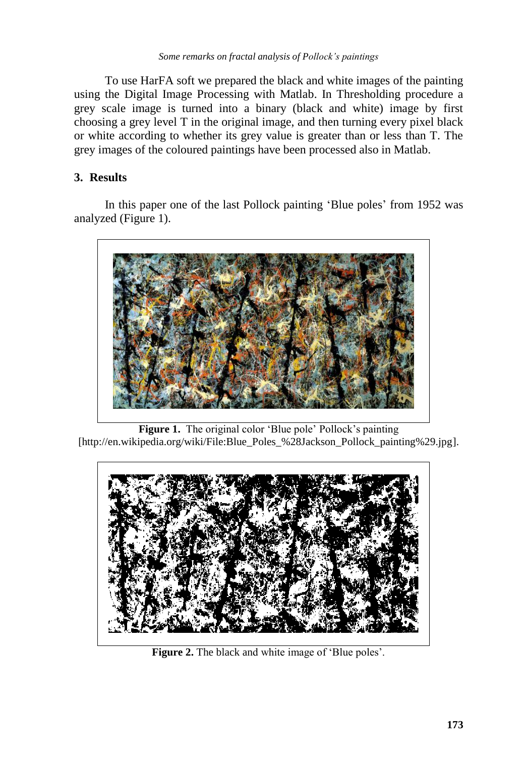To use HarFA soft we prepared the black and white images of the painting using the Digital Image Processing with Matlab. In Thresholding procedure a grey scale image is turned into a binary (black and white) image by first choosing a grey level T in the original image, and then turning every pixel black or white according to whether its grey value is greater than or less than T. The grey images of the coloured paintings have been processed also in Matlab.

## **3. Results**

In this paper one of the last Pollock painting 'Blue poles' from 1952 was analyzed (Figure 1).



**Figure 1.** The original color 'Blue pole' Pollock's painting [http://en.wikipedia.org/wiki/File:Blue\_Poles\_%28Jackson\_Pollock\_painting%29.jpg].



Figure 2. The black and white image of 'Blue poles'.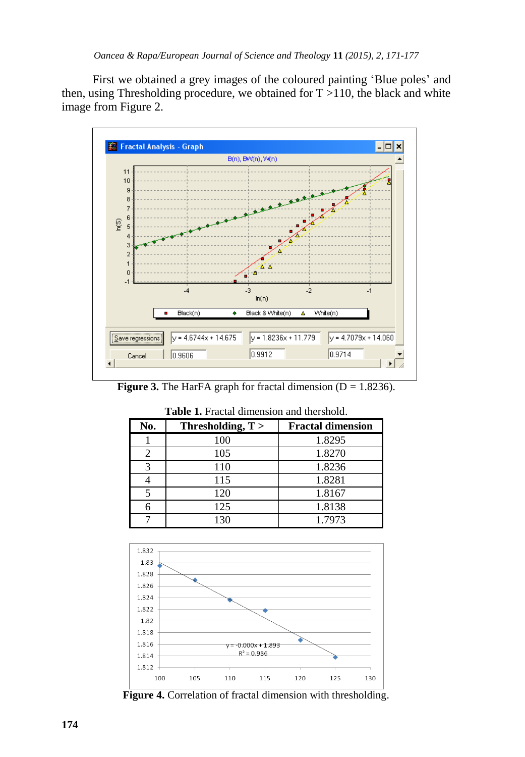First we obtained a grey images of the coloured painting 'Blue poles' and then, using Thresholding procedure, we obtained for  $T > 110$ , the black and white image from Figure 2.



**Figure 3.** The HarFA graph for fractal dimension  $(D = 1.8236)$ .

| No. | Thresholding, $T >$ | <b>Fractal dimension</b> |
|-----|---------------------|--------------------------|
|     | 100                 | 1.8295                   |
|     | 105                 | 1.8270                   |
| 3   | 110                 | 1.8236                   |
|     | 115                 | 1.8281                   |
|     | 120                 | 1.8167                   |
|     | 125                 | 1.8138                   |
|     | 130                 | 1.7973                   |

**Table 1.** Fractal dimension and thershold.



**Figure 4.** Correlation of fractal dimension with thresholding.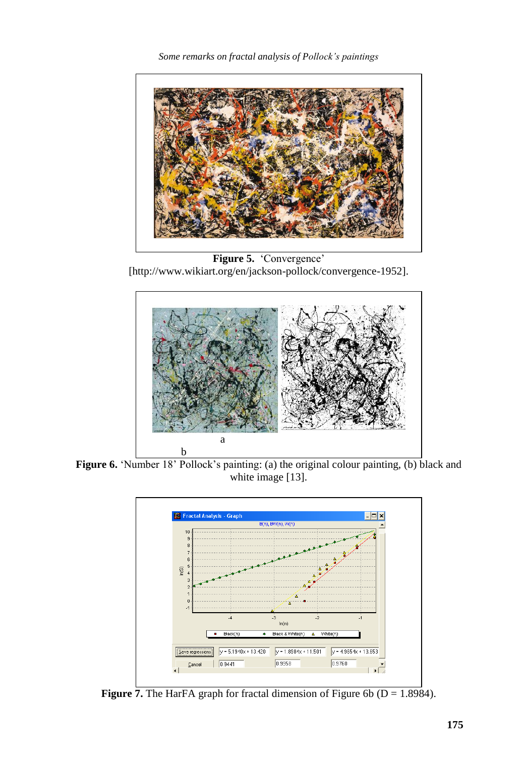*Some remarks on fractal analysis of Pollock's paintings*



**Figure 5.** 'Convergence' [http://www.wikiart.org/en/jackson-pollock/convergence-1952].



Figure 6. 'Number 18' Pollock's painting: (a) the original colour painting, (b) black and white image [13].



**Figure 7.** The HarFA graph for fractal dimension of Figure 6b ( $D = 1.8984$ ).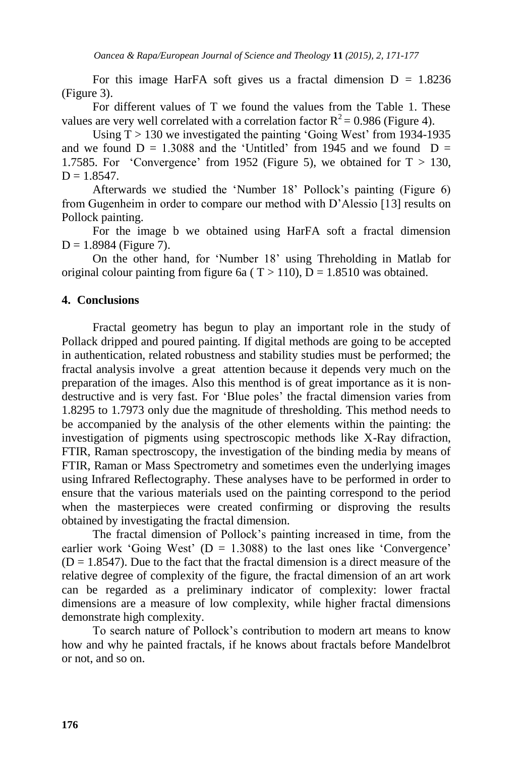For this image HarFA soft gives us a fractal dimension  $D = 1.8236$ (Figure 3).

For different values of T we found the values from the Table 1. These values are very well correlated with a correlation factor  $R^2 = 0.986$  (Figure 4).

Using  $T > 130$  we investigated the painting 'Going West' from 1934-1935 and we found  $D = 1.3088$  and the 'Untitled' from 1945 and we found  $D =$ 1.7585. For 'Convergence' from 1952 (Figure 5), we obtained for  $T > 130$ .  $D = 1.8547$ .

Afterwards we studied the 'Number 18' Pollock's painting (Figure 6) from Gugenheim in order to compare our method with D'Alessio [13] results on Pollock painting.

For the image b we obtained using HarFA soft a fractal dimension  $D = 1.8984$  (Figure 7).

On the other hand, for 'Number 18' using Threholding in Matlab for original colour painting from figure 6a ( $T > 110$ ),  $D = 1.8510$  was obtained.

#### **4. Conclusions**

Fractal geometry has begun to play an important role in the study of Pollack dripped and poured painting. If digital methods are going to be accepted in authentication, related robustness and stability studies must be performed; the fractal analysis involve a great attention because it depends very much on the preparation of the images. Also this menthod is of great importance as it is nondestructive and is very fast. For 'Blue poles' the fractal dimension varies from 1.8295 to 1.7973 only due the magnitude of thresholding. This method needs to be accompanied by the analysis of the other elements within the painting: the investigation of pigments using spectroscopic methods like X-Ray difraction, FTIR, Raman spectroscopy, the investigation of the binding media by means of FTIR, Raman or Mass Spectrometry and sometimes even the underlying images using Infrared Reflectography. These analyses have to be performed in order to ensure that the various materials used on the painting correspond to the period when the masterpieces were created confirming or disproving the results obtained by investigating the fractal dimension.

The fractal dimension of Pollock's painting increased in time, from the earlier work 'Going West'  $(D = 1.3088)$  to the last ones like 'Convergence'  $(D = 1.8547)$ . Due to the fact that the fractal dimension is a direct measure of the relative degree of complexity of the figure, the fractal dimension of an art work can be regarded as a preliminary indicator of complexity: lower fractal dimensions are a measure of low complexity, while higher fractal dimensions demonstrate high complexity.

To search nature of Pollock's contribution to modern art means to know how and why he painted fractals, if he knows about fractals before Mandelbrot or not, and so on.